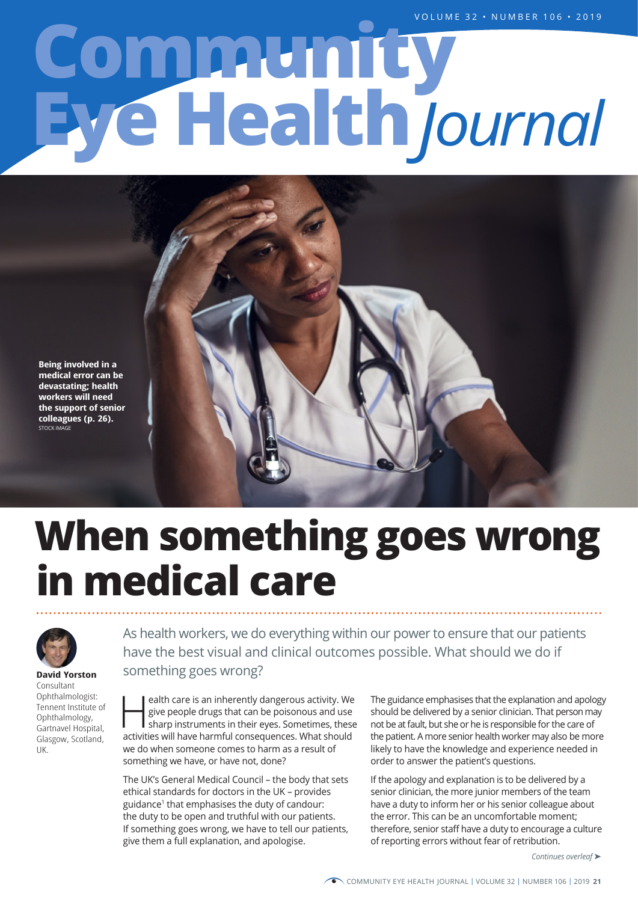# **Eye Health Community** *Journal*

**Being involved in a medical error can be devastating; health workers will need the support of senior colleagues (p. 26).** STOCK IMAGE





**David Yorston** Consultant Ophthalmologist: Tennent Institute of Ophthalmology, Gartnavel Hospital, Glasgow, Scotland, UK.

As health workers, we do everything within our power to ensure that our patients have the best visual and clinical outcomes possible. What should we do if something goes wrong?

ealth care is an inherently dangerous activity. We give people drugs that can be poisonous and use sharp instruments in their eyes. Sometimes, these give people drugs that can be poisonous and use sharp instruments in their eyes. Sometimes, these activities will have harmful consequences. What should we do when someone comes to harm as a result of something we have, or have not, done?

The UK's General Medical Council – the body that sets ethical standards for doctors in the UK – provides guidance1 that emphasises the duty of candour: the duty to be open and truthful with our patients. If something goes wrong, we have to tell our patients, give them a full explanation, and apologise.

The guidance emphasises that the explanation and apology should be delivered by a senior clinician. That person may not be at fault, but she or he is responsible for the care of the patient. A more senior health worker may also be more likely to have the knowledge and experience needed in order to answer the patient's questions.

If the apology and explanation is to be delivered by a senior clinician, the more junior members of the team have a duty to inform her or his senior colleague about the error. This can be an uncomfortable moment; therefore, senior staff have a duty to encourage a culture of reporting errors without fear of retribution.

*Continues overleaf* ➤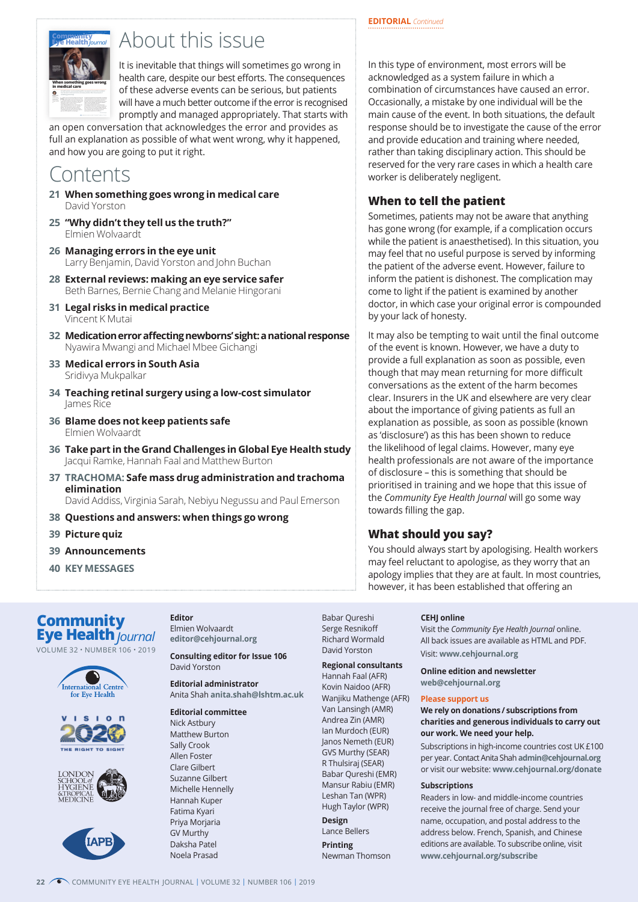



# **Expressively arms 4 × 2000 to this issue**

It is inevitable that things will sometimes go wrong in health care, despite our best efforts. The consequences of these adverse events can be serious, but patients will have a much better outcome if the error is recognised promptly and managed appropriately. That starts with

an open conversation that acknowledges the error and provides as full an explanation as possible of what went wrong, why it happened, and how you are going to put it right.

# Contents

- **21 When something goes wrong in medical care** David Yorston
- **25 "Why didn't they tell us the truth?"** Elmien Wolvaardt
- **26 Managing errors in the eye unit** Larry Benjamin, David Yorston and John Buchan
- **28 External reviews: making an eye service safer** Beth Barnes, Bernie Chang and Melanie Hingorani
- **31 Legal risks in medical practice** Vincent K Mutai
- **32 Medication error affecting newborns' sight: a national response** Nyawira Mwangi and Michael Mbee Gichangi
- **33 Medical errors in South Asia** Sridivya Mukpalkar
- **34 Teaching retinal surgery using a low-cost simulator** James Rice
- **36 Blame does not keep patients safe** Elmien Wolvaardt
- **36 Take part in the Grand Challenges in Global Eye Health study** Jacqui Ramke, Hannah Faal and Matthew Burton
- **37 TRACHOMA: Safe mass drug administration and trachoma elimination** David Addiss, Virginia Sarah, Nebiyu Negussu and Paul Emerson
- **38 Questions and answers: when things go wrong**
- **39 Picture quiz**
- **39 Announcements**
- **40 KEY MESSAGES**

**Eye Health** *Journal* **Community**

VOLUME 32 • NUMBER 106 • 2019









**Editor** Elmien Wolvaardt **editor@cehjournal.org** 

**Consulting editor for Issue 106** David Yorston

**Editorial administrator** Anita Shah **anita.shah@lshtm.ac.uk** 

#### **Editorial committee** Nick Astbury Matthew Burton

Sally Crook Allen Foster Clare Gilbert Suzanne Gilbert Michelle Hennelly Hannah Kuper Fatima Kyari Priya Morjaria GV Murthy Daksha Patel Noela Prasad

Babar Qureshi Serge Resnikoff Richard Wormald David Yorston

**Design** Lance Bellers **Printing** Newman Thomson

**Regional consultants** Hannah Faal (AFR) Kovin Naidoo (AFR) Wanjiku Mathenge (AFR) Van Lansingh (AMR) Andrea Zin (AMR) Ian Murdoch (EUR) Janos Nemeth (EUR) GVS Murthy (SEAR) R Thulsiraj (SEAR) Babar Qureshi (EMR) Mansur Rabiu (EMR) Leshan Tan (WPR) Hugh Taylor (WPR)

#### **CEHJ online**

Visit the *Community Eye Health Journal* online. All back issues are available as HTML and PDF. Visit: **www.cehjournal.org**

**Online edition and newsletter**

**web@cehjournal.org**

#### **Please support us**

#### **We rely on donations / subscriptions from charities and generous individuals to carry out our work. We need your help.**

Subscriptions in high-income countries cost UK £100 per year. Contact Anita Shah **admin@cehjournal.org** or visit our website: **www.cehjournal.org/donate**

#### **Subscriptions**

Readers in low- and middle-income countries receive the journal free of charge. Send your name, occupation, and postal address to the address below. French, Spanish, and Chinese editions are available. To subscribe online, visit **www.cehjournal.org/subscribe**

In this type of environment, most errors will be acknowledged as a system failure in which a combination of circumstances have caused an error. Occasionally, a mistake by one individual will be the main cause of the event. In both situations, the default response should be to investigate the cause of the error and provide education and training where needed, rather than taking disciplinary action. This should be reserved for the very rare cases in which a health care worker is deliberately negligent.

# **When to tell the patient**

Sometimes, patients may not be aware that anything has gone wrong (for example, if a complication occurs while the patient is anaesthetised). In this situation, you may feel that no useful purpose is served by informing the patient of the adverse event. However, failure to inform the patient is dishonest. The complication may come to light if the patient is examined by another doctor, in which case your original error is compounded by your lack of honesty.

It may also be tempting to wait until the final outcome of the event is known. However, we have a duty to provide a full explanation as soon as possible, even though that may mean returning for more difficult conversations as the extent of the harm becomes clear. Insurers in the UK and elsewhere are very clear about the importance of giving patients as full an explanation as possible, as soon as possible (known as 'disclosure') as this has been shown to reduce the likelihood of legal claims. However, many eye health professionals are not aware of the importance of disclosure – this is something that should be prioritised in training and we hope that this issue of the *Community Eye Health Journal* will go some way towards filling the gap.

# **What should you say?**

You should always start by apologising. Health workers may feel reluctant to apologise, as they worry that an apology implies that they are at fault. In most countries, however, it has been established that offering an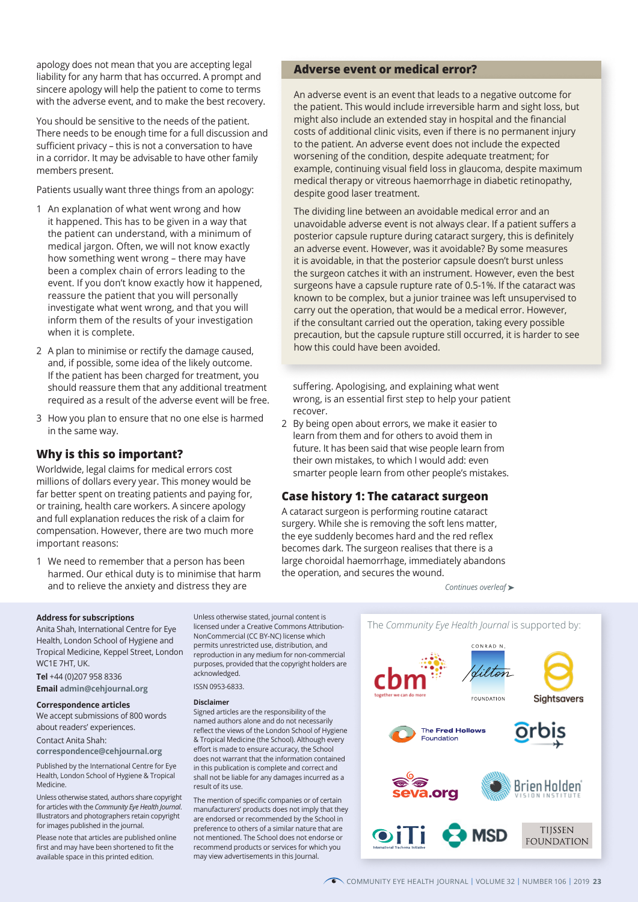apology does not mean that you are accepting legal liability for any harm that has occurred. A prompt and sincere apology will help the patient to come to terms with the adverse event, and to make the best recovery.

You should be sensitive to the needs of the patient. There needs to be enough time for a full discussion and sufficient privacy – this is not a conversation to have in a corridor. It may be advisable to have other family members present.

Patients usually want three things from an apology:

- 1 An explanation of what went wrong and how it happened. This has to be given in a way that the patient can understand, with a minimum of medical jargon. Often, we will not know exactly how something went wrong – there may have been a complex chain of errors leading to the event. If you don't know exactly how it happened, reassure the patient that you will personally investigate what went wrong, and that you will inform them of the results of your investigation when it is complete.
- 2 A plan to minimise or rectify the damage caused, and, if possible, some idea of the likely outcome. If the patient has been charged for treatment, you should reassure them that any additional treatment required as a result of the adverse event will be free.
- 3 How you plan to ensure that no one else is harmed in the same way.

# **Why is this so important?**

Worldwide, legal claims for medical errors cost millions of dollars every year. This money would be far better spent on treating patients and paying for, or training, health care workers. A sincere apology and full explanation reduces the risk of a claim for compensation. However, there are two much more important reasons:

1 We need to remember that a person has been harmed. Our ethical duty is to minimise that harm and to relieve the anxiety and distress they are

# **Adverse event or medical error?**

An adverse event is an event that leads to a negative outcome for the patient. This would include irreversible harm and sight loss, but might also include an extended stay in hospital and the financial costs of additional clinic visits, even if there is no permanent injury to the patient. An adverse event does not include the expected worsening of the condition, despite adequate treatment; for example, continuing visual field loss in glaucoma, despite maximum medical therapy or vitreous haemorrhage in diabetic retinopathy, despite good laser treatment.

The dividing line between an avoidable medical error and an unavoidable adverse event is not always clear. If a patient suffers a posterior capsule rupture during cataract surgery, this is definitely an adverse event. However, was it avoidable? By some measures it is avoidable, in that the posterior capsule doesn't burst unless the surgeon catches it with an instrument. However, even the best surgeons have a capsule rupture rate of 0.5-1%. If the cataract was known to be complex, but a junior trainee was left unsupervised to carry out the operation, that would be a medical error. However, if the consultant carried out the operation, taking every possible precaution, but the capsule rupture still occurred, it is harder to see how this could have been avoided.

suffering. Apologising, and explaining what went wrong, is an essential first step to help your patient recover.

2 By being open about errors, we make it easier to learn from them and for others to avoid them in future. It has been said that wise people learn from their own mistakes, to which I would add: even smarter people learn from other people's mistakes.

# **Case history 1: The cataract surgeon**

A cataract surgeon is performing routine cataract surgery. While she is removing the soft lens matter, the eye suddenly becomes hard and the red reflex becomes dark. The surgeon realises that there is a large choroidal haemorrhage, immediately abandons the operation, and secures the wound.

*Continues overleaf* ➤

#### **Address for subscriptions**

Anita Shah, International Centre for Eye Health, London School of Hygiene and Tropical Medicine, Keppel Street, London WC1E 7HT, UK.

**Tel** +44 (0)207 958 8336 **Email admin@cehjournal.org**

#### **Correspondence articles**

We accept submissions of 800 words about readers' experiences.

Contact Anita Shah:

**correspondence@cehjournal.org**

Published by the International Centre for Eye Health, London School of Hygiene & Tropical Medicine.

Unless otherwise stated, authors share copyright for articles with the *Community Eye Health Journal*. Illustrators and photographers retain copyright for images published in the journal.

Please note that articles are published online first and may have been shortened to fit the available space in this printed edition.

licensed under a Creative Commons Attribution-NonCommercial (CC BY-NC) license which permits unrestricted use, distribution, and reproduction in any medium for non-commercial purposes, provided that the copyright holders are acknowledged.

ISSN 0953-6833.

#### **Disclaimer**

Signed articles are the responsibility of the named authors alone and do not necessarily reflect the views of the London School of Hygiene & Tropical Medicine (the School). Although every effort is made to ensure accuracy, the School does not warrant that the information contained in this publication is complete and correct and shall not be liable for any damages incurred as a result of its use.

The mention of specific companies or of certain manufacturers' products does not imply that they are endorsed or recommended by the School in preference to others of a similar nature that are not mentioned. The School does not endorse or recommend products or services for which you may view advertisements in this Journal.